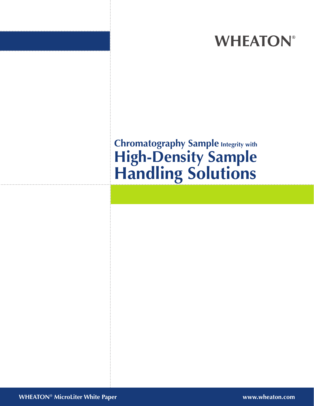# **WHEATON®**

# **Chromatography Sample Integrity with High-Density Sample Handling Solutions**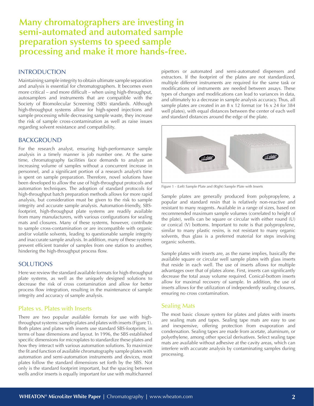# **Many chromatographers are investing in semi-automated and automated sample preparation systems to speed sample processing and make it more hands-free.**

### **INTRODUCTION**

Maintaining sample integrity to obtain ultimate sample separation and analysis is essential for chromatographers. It becomes even more critical – and more difficult – when using high-throughput, autosamplers and instruments that are compatible with the Society of Biomolecular Screening (SBS) standards. Although high-throughput systems allow for high-speed injections and sample processing while decreasing sample waste, they increase the risk of sample cross-contamination as well as raise issues regarding solvent resistance and compatibility.

#### BACKGROUND

For the research analyst, ensuring high-performance sample analysis in a timely manner is job number one. At the same time, chromatography facilities face demands to analyze an increasing volume of samples without a concurrent increase in personnel, and a significant portion of a research analyst's time is spent on sample preparation. Therefore, novel solutions have been developed to allow the use of high-throughput protocols and automation techniques. The adoption of standard protocols for high-throughput batch preparation methods allows for more rapid analysis, but consideration must be given to the risk to sample integrity and accurate sample analysis. Automation-friendly, SBSfootprint, high-throughput plate systems are readily available from many manufacturers, with various configurations for sealing mats and closures. Many of these systems, however, contribute to sample cross-contamination or are incompatible with organic and/or volatile solvents, leading to questionable sample integrity and inaccurate sample analysis. In addition, many of these systems prevent efficient transfer of samples from one station to another, hindering the high-throughput process flow.

## SOLUTIONS

Here we review the standard available formats for high-throughput plate systems, as well as the uniquely designed solutions to decrease the risk of cross contamination and allow for better process flow integration, resulting in the maintenance of sample integrity and accuracy of sample analysis.

## Plates vs. Plates with Inserts

There are two popular available formats for use with highthroughput systems: sample plates and plates with inserts (Figure 1). Both plates and plates with inserts use standard SBS-footprints, in terms of base dimensions and layout. In 1996, the SBS established specific dimensions for microplates to standardize these plates and how they interact with various automation solutions. To maximize the fit and function of available chromatography sample plates with automation and semi-automation instruments and devices, most plates follow the standard dimensions set forth by the SBS. Not only is the standard footprint important, but the spacing between wells and/or inserts is equally important for use with multichannel

pipettors or automated and semi-automated dispensers and extractors. If the footprint of the plates are not standardized, multiple different instruments are required for the same task or modifications of instruments are needed between assays. These types of changes and modifications can lead to variances in data, and ultimately to a decrease in sample analysis accuracy. Thus, all sample plates are created in an 8 x 12 format (or 16 x 24 for 384 well plates), with equal distances between the center of each well and standard distances around the edge of the plate.



Figure 1 - (Left) Sample Plate and (Right) Sample Plate with Inserts

Sample plates are generally produced from polypropylene, a popular and standard resin that is relatively non-reactive and resistant to many reagents. Available in a range of sizes, based on recommended maximum sample volumes (correlated to height of the plate), wells can be square or circular with either round (U) or conical (V) bottoms. Important to note is that polypropylene, similar to many plastic resins, is not resistant to many organic solvents, thus glass is a preferred material for steps involving organic solvents.

Sample plates with inserts are, as the name implies, basically the available square or circular well sample plates with glass inserts that reside in each well. The use of inserts allows for multiple advantages over that of plates alone. First, inserts can significantly decrease the total assay volume required. Conical-bottom inserts allow for maximal recovery of sample. In addition, the use of inserts allows for the utilization of independently sealing closures, ensuring no cross contamination.

#### Sealing Mats

The most basic closure system for plates and plates with inserts are sealing mats and tapes. Sealing tape mats are easy to use and inexpensive, offering protection from evaporation and condensation. Sealing tapes are made from acetate, aluminum, or polyethylene, among other special derivatives. Select sealing tape mats are available without adhesive at the cavity areas, which can interfere with accurate analysis by contaminating samples during processing.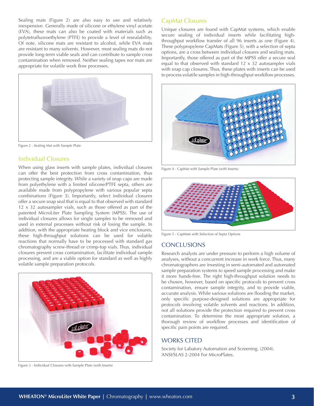Sealing mats (Figure 2) are also easy to use and relatively inexpensive. Generally made of silicone or ethylene vinyl acetate (EVA), these mats can also be coated with materials such as polytetrafluoroethylene (PTFE) to provide a level of resealability. Of note, silicone mats are resistant to alcohol, while EVA mats are resistant to many solvents. However, most sealing mats do not provide long-term viable seals and can contribute to sample cross contamination when removed. Neither sealing tapes nor mats are appropriate for volatile work flow processes.



Figure 2 - Sealing Mat with Sample Plate

# Individual Closures

When using glass inserts with sample plates, individual closures can offer the best protection from cross contamination, thus protecting sample integrity. While a variety of snap caps are made from polyethylene with a limited silicone/PTFE septa, others are available made from polypropylene with various popular septa combinations (Figure 3). Importantly, select individual closures offer a secure snap seal that is equal to that observed with standard 12 x 32 autosampler vials, such as those offered as part of the patented MicroLiter Plate Sampling System (MPSS). The use of individual closures allows for single samples to be removed and used in external processes without risk of losing the sample. In addition, with the appropriate heating block and vice enclosures, these high-throughput solutions can be used for volatile reactions that normally have to be processed with standard gas chromatography screw-thread or crimp-top vials. Thus, individual closures prevent cross contamination, facilitate individual sample processing, and are a viable option for standard as well as highly volatile sample preparation protocols.



Figure 3 - Individual Closures with Sample Plate (with Inserts)

## CapMat Closures

Unique closures are found with CapMat systems, which enable secure sealing of individual inserts while facilitating highthroughput workflow transfer of all 96 inserts as one (Figure 4). These polypropylene CapMats (Figure 5), with a selection of septa options, are a cross between individual closures and sealing mats. Importantly, those offered as part of the MPSS offer a secure seal equal to that observed with standard 12 x 32 autosampler vials with snap cap closures. Thus, these plates with inserts can be used to process volatile samples in high-throughput workflow processes.



Figure 4 - CapMat with Sample Plate (with Inserts)



Figure 5 - CapMats with Selection of Septa Options

#### **CONCLUSIONS**

Research analysts are under pressure to perform a high volume of analyses, without a concurrent increase in work force. Thus, many chromatographers are investing in semi-automated and automated sample preparation systems to speed sample processing and make it more hands-free. The right high-throughput solution needs to be chosen, however, based on specific protocols to prevent cross contamination, ensure sample integrity, and to provide viable, accurate analysis. While various solutions are flooding the market, only specific purpose-designed solutions are appropriate for protocols involving volatile solvents and reactions. In addition, not all solutions provide the protection required to prevent cross contamination. To determine the most appropriate solution, a thorough review of workflow processes and identification of specific pain points are required.

#### WORKS CITED

Society for Labatory Automation and Screening. (2004). ANSI/SLAS 2-2004 For MicroPlates.